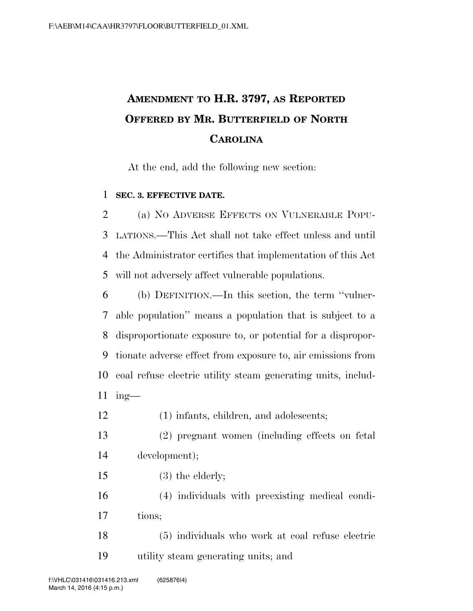## **AMENDMENT TO H.R. 3797, AS REPORTED OFFERED BY MR. BUTTERFIELD OF NORTH CAROLINA**

At the end, add the following new section:

## **SEC. 3. EFFECTIVE DATE.**

 (a) NO ADVERSE EFFECTS ON VULNERABLE POPU- LATIONS.—This Act shall not take effect unless and until the Administrator certifies that implementation of this Act will not adversely affect vulnerable populations.

 (b) DEFINITION.—In this section, the term ''vulner- able population'' means a population that is subject to a disproportionate exposure to, or potential for a dispropor- tionate adverse effect from exposure to, air emissions from coal refuse electric utility steam generating units, includ-ing—

- (1) infants, children, and adolescents;
- (2) pregnant women (including effects on fetal development);
- (3) the elderly;

 (4) individuals with preexisting medical condi-tions;

 (5) individuals who work at coal refuse electric utility steam generating units; and